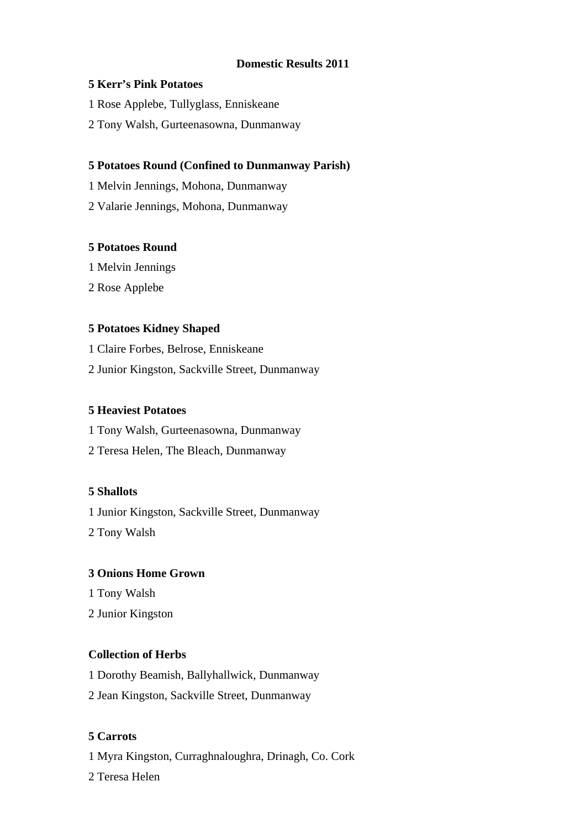### **Domestic Results 2011**

#### **5 Kerr's Pink Potatoes**

- 1 Rose Applebe, Tullyglass, Enniskeane
- 2 Tony Walsh, Gurteenasowna, Dunmanway

### **5 Potatoes Round (Confined to Dunmanway Parish)**

- 1 Melvin Jennings, Mohona, Dunmanway
- 2 Valarie Jennings, Mohona, Dunmanway

### **5 Potatoes Round**

- 1 Melvin Jennings
- 2 Rose Applebe

### **5 Potatoes Kidney Shaped**

- 1 Claire Forbes, Belrose, Enniskeane
- 2 Junior Kingston, Sackville Street, Dunmanway

### **5 Heaviest Potatoes**

- 1 Tony Walsh, Gurteenasowna, Dunmanway
- 2 Teresa Helen, The Bleach, Dunmanway

### **5 Shallots**

1 Junior Kingston, Sackville Street, Dunmanway 2 Tony Walsh

### **3 Onions Home Grown**

- 1 Tony Walsh
- 2 Junior Kingston

### **Collection of Herbs**

- 1 Dorothy Beamish, Ballyhallwick, Dunmanway
- 2 Jean Kingston, Sackville Street, Dunmanway

### **5 Carrots**

- 1 Myra Kingston, Curraghnaloughra, Drinagh, Co. Cork
- 2 Teresa Helen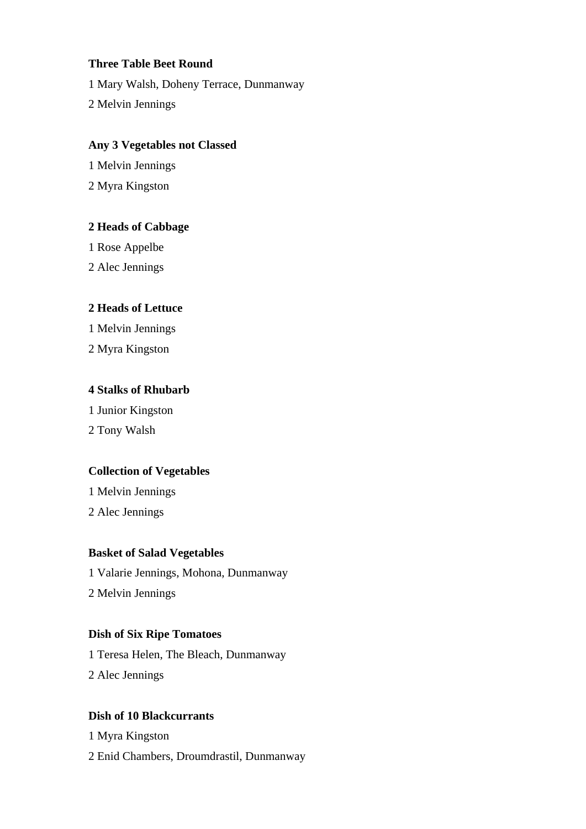### **Three Table Beet Round**

1 Mary Walsh, Doheny Terrace, Dunmanway

2 Melvin Jennings

### **Any 3 Vegetables not Classed**

1 Melvin Jennings

2 Myra Kingston

### **2 Heads of Cabbage**

1 Rose Appelbe

2 Alec Jennings

### **2 Heads of Lettuce**

1 Melvin Jennings

2 Myra Kingston

### **4 Stalks of Rhubarb**

1 Junior Kingston

2 Tony Walsh

### **Collection of Vegetables**

1 Melvin Jennings

2 Alec Jennings

### **Basket of Salad Vegetables**

1 Valarie Jennings, Mohona, Dunmanway

2 Melvin Jennings

### **Dish of Six Ripe Tomatoes**

1 Teresa Helen, The Bleach, Dunmanway 2 Alec Jennings

### **Dish of 10 Blackcurrants**

1 Myra Kingston

2 Enid Chambers, Droumdrastil, Dunmanway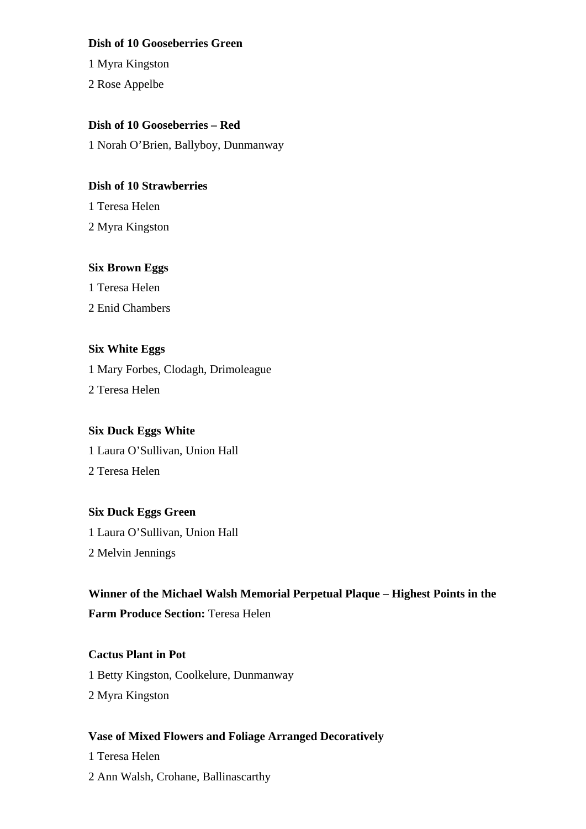#### **Dish of 10 Gooseberries Green**

1 Myra Kingston

2 Rose Appelbe

### **Dish of 10 Gooseberries – Red**

1 Norah O'Brien, Ballyboy, Dunmanway

### **Dish of 10 Strawberries**

1 Teresa Helen 2 Myra Kingston

### **Six Brown Eggs**

1 Teresa Helen 2 Enid Chambers

# **Six White Eggs**

1 Mary Forbes, Clodagh, Drimoleague 2 Teresa Helen

### **Six Duck Eggs White**

1 Laura O'Sullivan, Union Hall 2 Teresa Helen

### **Six Duck Eggs Green**

1 Laura O'Sullivan, Union Hall 2 Melvin Jennings

# **Winner of the Michael Walsh Memorial Perpetual Plaque – Highest Points in the**

**Farm Produce Section:** Teresa Helen

### **Cactus Plant in Pot**

1 Betty Kingston, Coolkelure, Dunmanway 2 Myra Kingston

### **Vase of Mixed Flowers and Foliage Arranged Decoratively**

1 Teresa Helen

2 Ann Walsh, Crohane, Ballinascarthy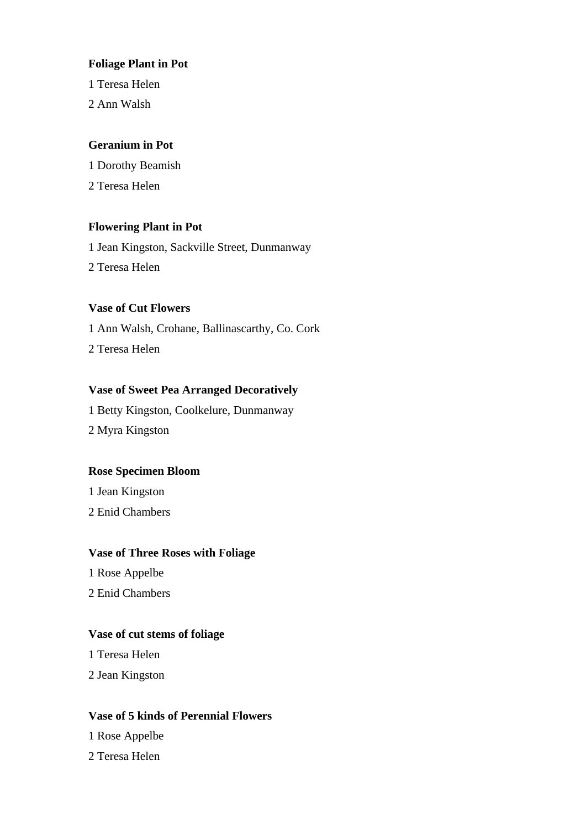### **Foliage Plant in Pot**

1 Teresa Helen

2 Ann Walsh

#### **Geranium in Pot**

1 Dorothy Beamish 2 Teresa Helen

### **Flowering Plant in Pot**

1 Jean Kingston, Sackville Street, Dunmanway 2 Teresa Helen

#### **Vase of Cut Flowers**

1 Ann Walsh, Crohane, Ballinascarthy, Co. Cork 2 Teresa Helen

#### **Vase of Sweet Pea Arranged Decoratively**

1 Betty Kingston, Coolkelure, Dunmanway 2 Myra Kingston

#### **Rose Specimen Bloom**

1 Jean Kingston

2 Enid Chambers

#### **Vase of Three Roses with Foliage**

1 Rose Appelbe

2 Enid Chambers

### **Vase of cut stems of foliage**

1 Teresa Helen

2 Jean Kingston

#### **Vase of 5 kinds of Perennial Flowers**

1 Rose Appelbe

2 Teresa Helen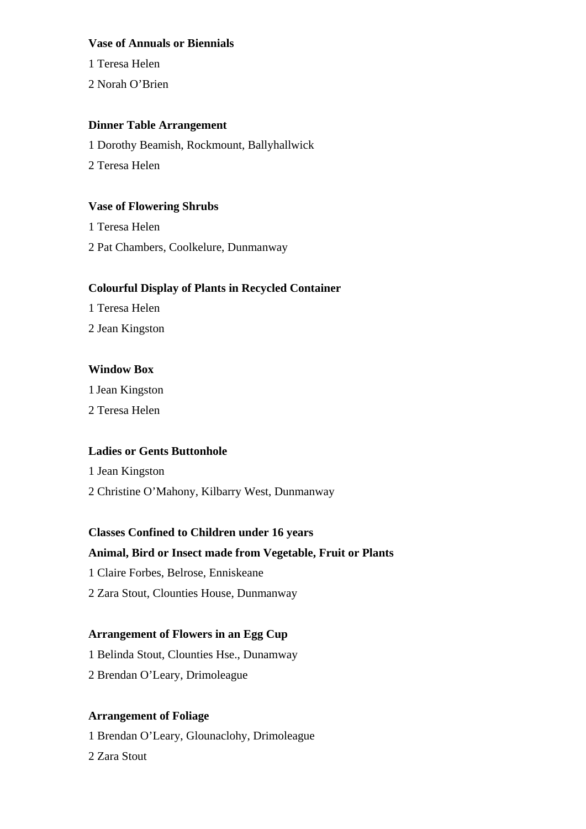#### **Vase of Annuals or Biennials**

1 Teresa Helen

2 Norah O'Brien

### **Dinner Table Arrangement**

1 Dorothy Beamish, Rockmount, Ballyhallwick 2 Teresa Helen

### **Vase of Flowering Shrubs**

1 Teresa Helen 2 Pat Chambers, Coolkelure, Dunmanway

### **Colourful Display of Plants in Recycled Container**

1 Teresa Helen

2 Jean Kingston

### **Window Box**

1 Jean Kingston

2 Teresa Helen

### **Ladies or Gents Buttonhole**

1 Jean Kingston

2 Christine O'Mahony, Kilbarry West, Dunmanway

# **Classes Confined to Children under 16 years**

### **Animal, Bird or Insect made from Vegetable, Fruit or Plants**

1 Claire Forbes, Belrose, Enniskeane

2 Zara Stout, Clounties House, Dunmanway

### **Arrangement of Flowers in an Egg Cup**

1 Belinda Stout, Clounties Hse., Dunamway

2 Brendan O'Leary, Drimoleague

### **Arrangement of Foliage**

1 Brendan O'Leary, Glounaclohy, Drimoleague

2 Zara Stout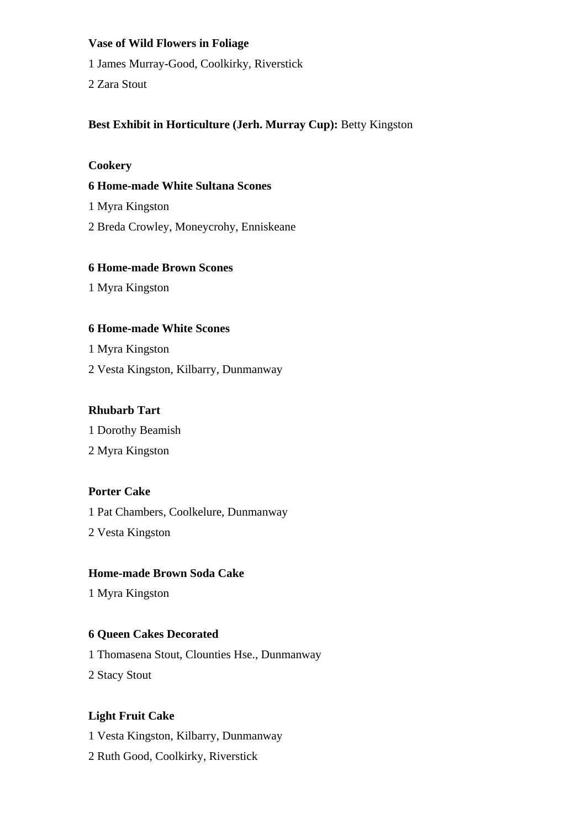#### **Vase of Wild Flowers in Foliage**

1 James Murray-Good, Coolkirky, Riverstick

2 Zara Stout

### **Best Exhibit in Horticulture (Jerh. Murray Cup):** Betty Kingston

#### **Cookery**

### **6 Home-made White Sultana Scones**

1 Myra Kingston

2 Breda Crowley, Moneycrohy, Enniskeane

### **6 Home-made Brown Scones**

1 Myra Kingston

### **6 Home-made White Scones**

1 Myra Kingston

2 Vesta Kingston, Kilbarry, Dunmanway

### **Rhubarb Tart**

1 Dorothy Beamish

2 Myra Kingston

### **Porter Cake**

1 Pat Chambers, Coolkelure, Dunmanway

2 Vesta Kingston

### **Home-made Brown Soda Cake**

1 Myra Kingston

### **6 Queen Cakes Decorated**

1 Thomasena Stout, Clounties Hse., Dunmanway

2 Stacy Stout

### **Light Fruit Cake**

1 Vesta Kingston, Kilbarry, Dunmanway

2 Ruth Good, Coolkirky, Riverstick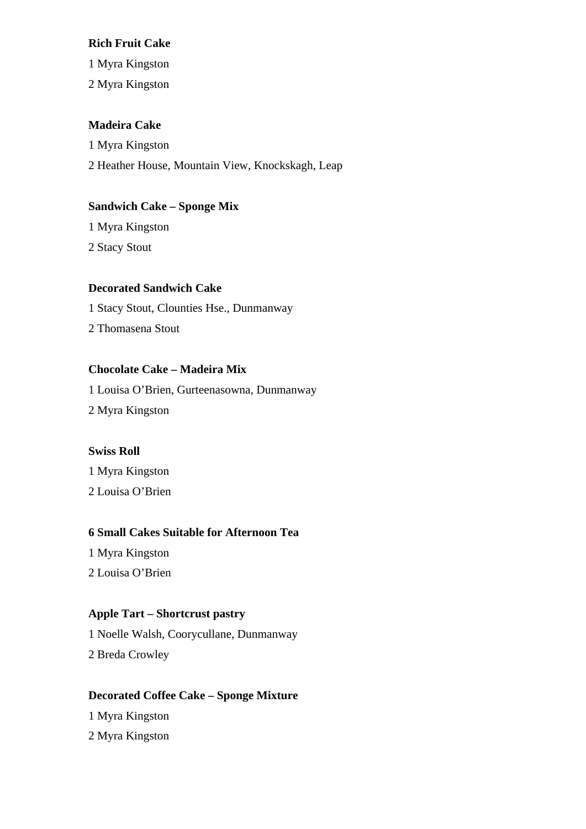#### **Rich Fruit Cake**

1 Myra Kingston

2 Myra Kingston

### **Madeira Cake**

1 Myra Kingston 2 Heather House, Mountain View, Knockskagh, Leap

### **Sandwich Cake – Sponge Mix**

1 Myra Kingston 2 Stacy Stout

### **Decorated Sandwich Cake**

1 Stacy Stout, Clounties Hse., Dunmanway

2 Thomasena Stout

### **Chocolate Cake – Madeira Mix**

1 Louisa O'Brien, Gurteenasowna, Dunmanway

2 Myra Kingston

### **Swiss Roll**

1 Myra Kingston

2 Louisa O'Brien

### **6 Small Cakes Suitable for Afternoon Tea**

1 Myra Kingston

2 Louisa O'Brien

### **Apple Tart – Shortcrust pastry**

1 Noelle Walsh, Coorycullane, Dunmanway

2 Breda Crowley

### **Decorated Coffee Cake – Sponge Mixture**

1 Myra Kingston 2 Myra Kingston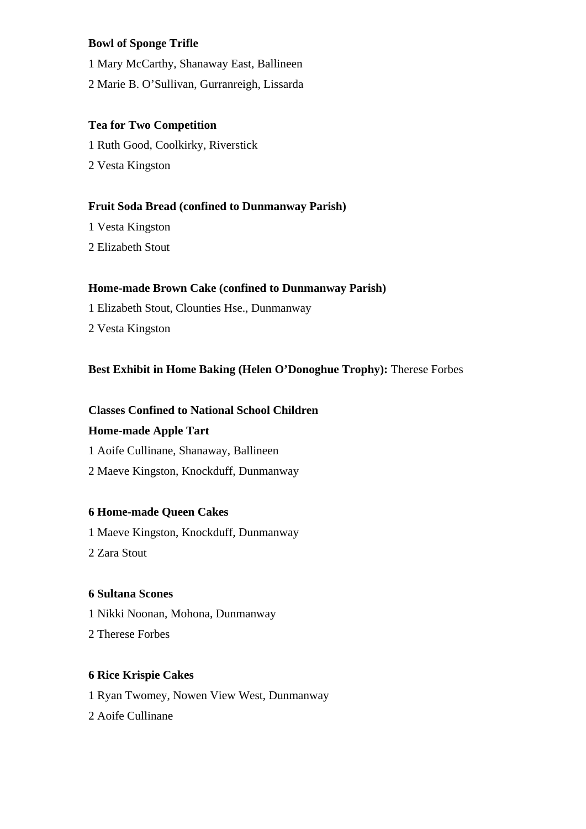### **Bowl of Sponge Trifle**

1 Mary McCarthy, Shanaway East, Ballineen

2 Marie B. O'Sullivan, Gurranreigh, Lissarda

### **Tea for Two Competition**

1 Ruth Good, Coolkirky, Riverstick 2 Vesta Kingston

### **Fruit Soda Bread (confined to Dunmanway Parish)**

1 Vesta Kingston 2 Elizabeth Stout

### **Home-made Brown Cake (confined to Dunmanway Parish)**

- 1 Elizabeth Stout, Clounties Hse., Dunmanway
- 2 Vesta Kingston

### **Best Exhibit in Home Baking (Helen O'Donoghue Trophy):** Therese Forbes

### **Classes Confined to National School Children**

### **Home-made Apple Tart**

- 1 Aoife Cullinane, Shanaway, Ballineen
- 2 Maeve Kingston, Knockduff, Dunmanway

### **6 Home-made Queen Cakes**

- 1 Maeve Kingston, Knockduff, Dunmanway
- 2 Zara Stout

### **6 Sultana Scones**

- 1 Nikki Noonan, Mohona, Dunmanway
- 2 Therese Forbes

### **6 Rice Krispie Cakes**

- 1 Ryan Twomey, Nowen View West, Dunmanway
- 2 Aoife Cullinane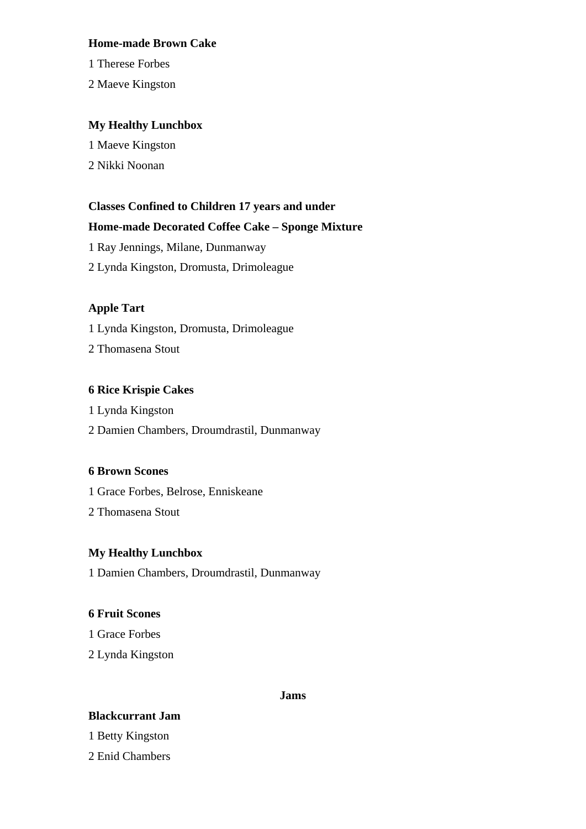#### **Home-made Brown Cake**

1 Therese Forbes

2 Maeve Kingston

### **My Healthy Lunchbox**

1 Maeve Kingston

2 Nikki Noonan

### **Classes Confined to Children 17 years and under**

### **Home-made Decorated Coffee Cake – Sponge Mixture**

1 Ray Jennings, Milane, Dunmanway

2 Lynda Kingston, Dromusta, Drimoleague

### **Apple Tart**

1 Lynda Kingston, Dromusta, Drimoleague

2 Thomasena Stout

### **6 Rice Krispie Cakes**

1 Lynda Kingston

2 Damien Chambers, Droumdrastil, Dunmanway

### **6 Brown Scones**

1 Grace Forbes, Belrose, Enniskeane

2 Thomasena Stout

### **My Healthy Lunchbox**

1 Damien Chambers, Droumdrastil, Dunmanway

### **6 Fruit Scones**

1 Grace Forbes

2 Lynda Kingston

#### **Jams**

### **Blackcurrant Jam**

1 Betty Kingston

2 Enid Chambers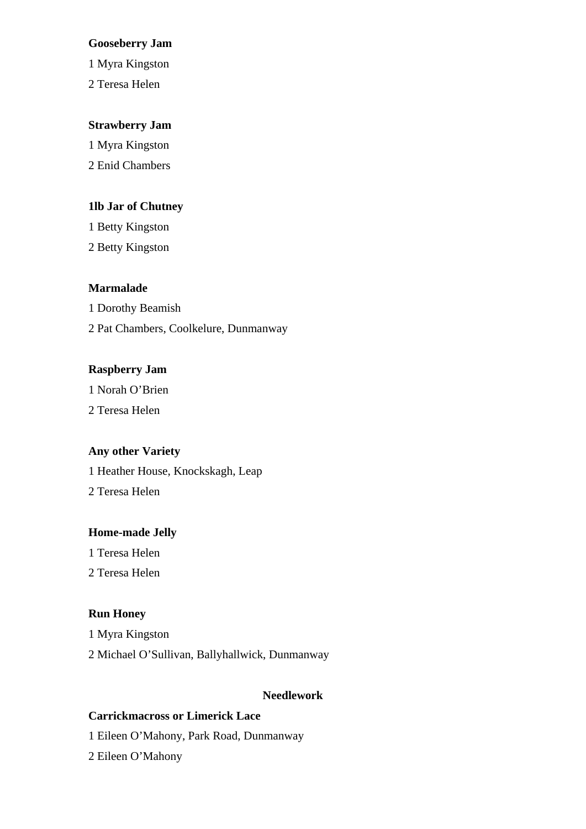#### **Gooseberry Jam**

1 Myra Kingston

2 Teresa Helen

#### **Strawberry Jam**

1 Myra Kingston 2 Enid Chambers

### **1lb Jar of Chutney**

1 Betty Kingston 2 Betty Kingston

#### **Marmalade**

1 Dorothy Beamish 2 Pat Chambers, Coolkelure, Dunmanway

### **Raspberry Jam**

1 Norah O'Brien 2 Teresa Helen

#### **Any other Variety**

1 Heather House, Knockskagh, Leap 2 Teresa Helen

#### **Home-made Jelly**

1 Teresa Helen

2 Teresa Helen

### **Run Honey**

1 Myra Kingston 2 Michael O'Sullivan, Ballyhallwick, Dunmanway

### **Needlework**

### **Carrickmacross or Limerick Lace**

1 Eileen O'Mahony, Park Road, Dunmanway

2 Eileen O'Mahony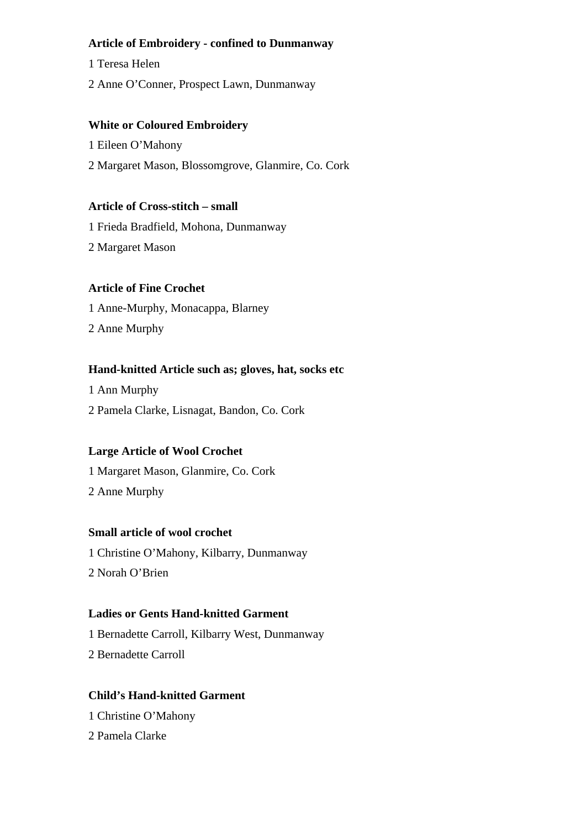### **Article of Embroidery - confined to Dunmanway**

1 Teresa Helen

2 Anne O'Conner, Prospect Lawn, Dunmanway

### **White or Coloured Embroidery**

1 Eileen O'Mahony

2 Margaret Mason, Blossomgrove, Glanmire, Co. Cork

### **Article of Cross-stitch – small**

1 Frieda Bradfield, Mohona, Dunmanway 2 Margaret Mason

### **Article of Fine Crochet**

1 Anne-Murphy, Monacappa, Blarney

2 Anne Murphy

### **Hand-knitted Article such as; gloves, hat, socks etc**

1 Ann Murphy

2 Pamela Clarke, Lisnagat, Bandon, Co. Cork

### **Large Article of Wool Crochet**

1 Margaret Mason, Glanmire, Co. Cork 2 Anne Murphy

### **Small article of wool crochet**

1 Christine O'Mahony, Kilbarry, Dunmanway 2 Norah O'Brien

# **Ladies or Gents Hand-knitted Garment**

1 Bernadette Carroll, Kilbarry West, Dunmanway

2 Bernadette Carroll

### **Child's Hand-knitted Garment**

1 Christine O'Mahony 2 Pamela Clarke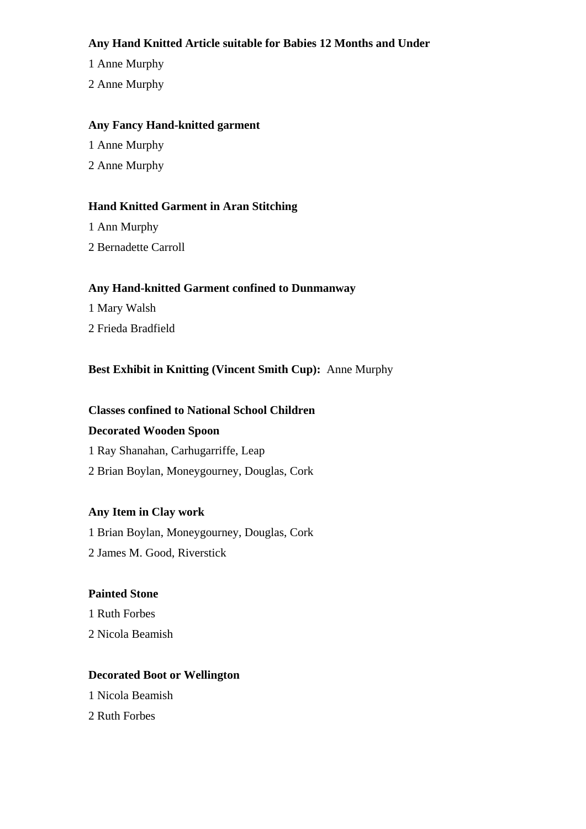### **Any Hand Knitted Article suitable for Babies 12 Months and Under**

1 Anne Murphy

2 Anne Murphy

### **Any Fancy Hand-knitted garment**

1 Anne Murphy

2 Anne Murphy

# **Hand Knitted Garment in Aran Stitching**

1 Ann Murphy

2 Bernadette Carroll

# **Any Hand-knitted Garment confined to Dunmanway**

1 Mary Walsh

2 Frieda Bradfield

# **Best Exhibit in Knitting (Vincent Smith Cup):** Anne Murphy

# **Classes confined to National School Children**

### **Decorated Wooden Spoon**

1 Ray Shanahan, Carhugarriffe, Leap

2 Brian Boylan, Moneygourney, Douglas, Cork

# **Any Item in Clay work**

1 Brian Boylan, Moneygourney, Douglas, Cork

2 James M. Good, Riverstick

### **Painted Stone**

1 Ruth Forbes 2 Nicola Beamish

### **Decorated Boot or Wellington**

1 Nicola Beamish

2 Ruth Forbes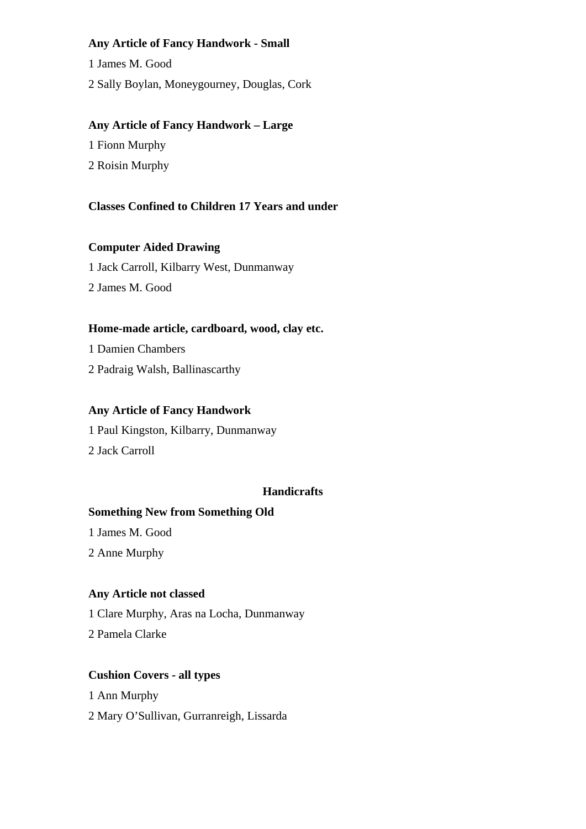### **Any Article of Fancy Handwork - Small**

1 James M. Good

2 Sally Boylan, Moneygourney, Douglas, Cork

### **Any Article of Fancy Handwork – Large**

1 Fionn Murphy

2 Roisin Murphy

### **Classes Confined to Children 17 Years and under**

### **Computer Aided Drawing**

1 Jack Carroll, Kilbarry West, Dunmanway 2 James M. Good

### **Home-made article, cardboard, wood, clay etc.**

1 Damien Chambers 2 Padraig Walsh, Ballinascarthy

### **Any Article of Fancy Handwork**

1 Paul Kingston, Kilbarry, Dunmanway

2 Jack Carroll

### **Handicrafts**

### **Something New from Something Old**

1 James M. Good

2 Anne Murphy

### **Any Article not classed**

1 Clare Murphy, Aras na Locha, Dunmanway

2 Pamela Clarke

### **Cushion Covers - all types**

1 Ann Murphy 2 Mary O'Sullivan, Gurranreigh, Lissarda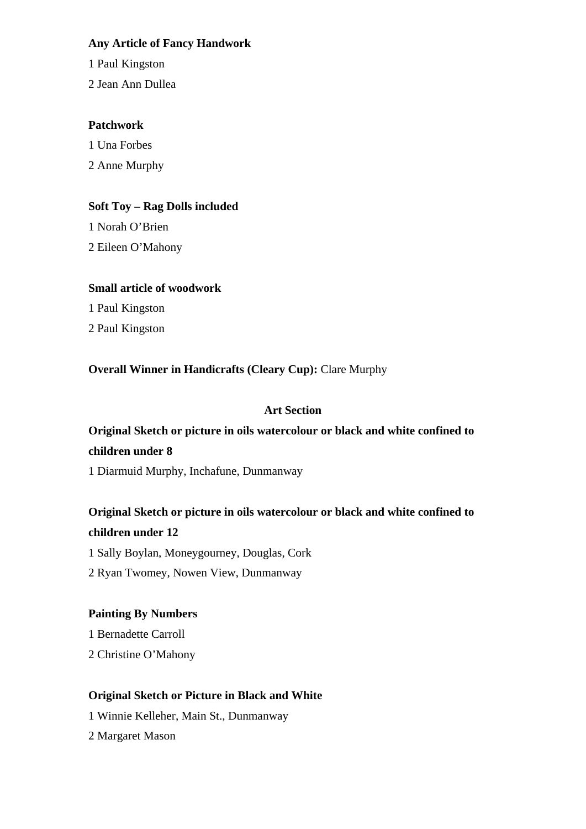### **Any Article of Fancy Handwork**

1 Paul Kingston

2 Jean Ann Dullea

### **Patchwork**

1 Una Forbes

2 Anne Murphy

# **Soft Toy – Rag Dolls included**

1 Norah O'Brien 2 Eileen O'Mahony

### **Small article of woodwork**

1 Paul Kingston

2 Paul Kingston

**Overall Winner in Handicrafts (Cleary Cup):** Clare Murphy

# **Art Section**

# **Original Sketch or picture in oils watercolour or black and white confined to children under 8**

1 Diarmuid Murphy, Inchafune, Dunmanway

# **Original Sketch or picture in oils watercolour or black and white confined to children under 12**

1 Sally Boylan, Moneygourney, Douglas, Cork

2 Ryan Twomey, Nowen View, Dunmanway

# **Painting By Numbers**

1 Bernadette Carroll

2 Christine O'Mahony

# **Original Sketch or Picture in Black and White**

1 Winnie Kelleher, Main St., Dunmanway 2 Margaret Mason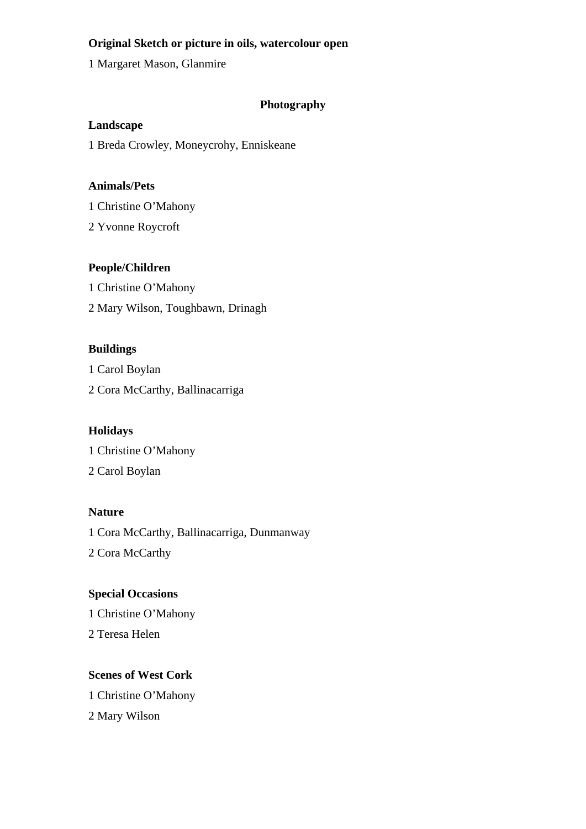### **Original Sketch or picture in oils, watercolour open**

1 Margaret Mason, Glanmire

# **Photography**

### **Landscape**

1 Breda Crowley, Moneycrohy, Enniskeane

### **Animals/Pets**

1 Christine O'Mahony

2 Yvonne Roycroft

### **People/Children**

1 Christine O'Mahony 2 Mary Wilson, Toughbawn, Drinagh

### **Buildings**

1 Carol Boylan 2 Cora McCarthy, Ballinacarriga

### **Holidays**

1 Christine O'Mahony

2 Carol Boylan

### **Nature**

1 Cora McCarthy, Ballinacarriga, Dunmanway 2 Cora McCarthy

### **Special Occasions**

1 Christine O'Mahony 2 Teresa Helen

### **Scenes of West Cork**

1 Christine O'Mahony

2 Mary Wilson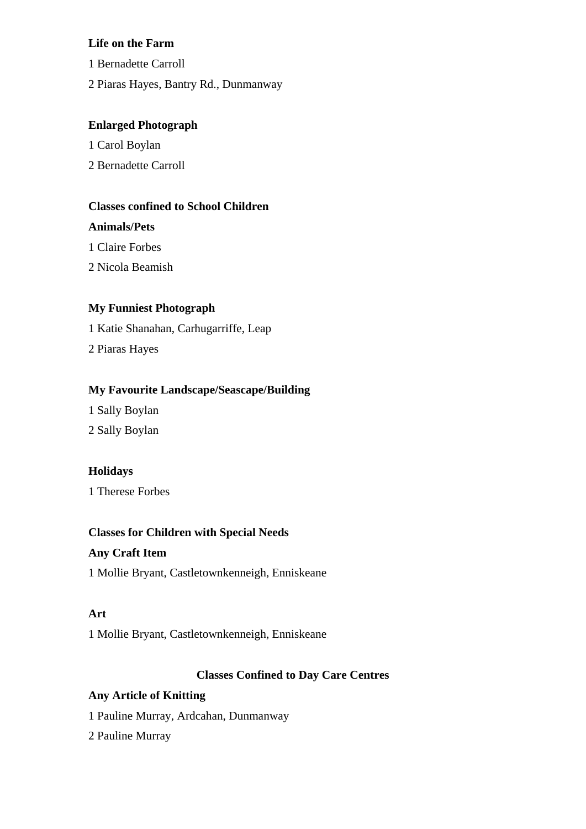### **Life on the Farm**

- 1 Bernadette Carroll
- 2 Piaras Hayes, Bantry Rd., Dunmanway

### **Enlarged Photograph**

- 1 Carol Boylan
- 2 Bernadette Carroll

### **Classes confined to School Children**

#### **Animals/Pets**

- 1 Claire Forbes
- 2 Nicola Beamish

### **My Funniest Photograph**

1 Katie Shanahan, Carhugarriffe, Leap

2 Piaras Hayes

### **My Favourite Landscape/Seascape/Building**

1 Sally Boylan 2 Sally Boylan

# **Holidays**

1 Therese Forbes

### **Classes for Children with Special Needs**

### **Any Craft Item**

1 Mollie Bryant, Castletownkenneigh, Enniskeane

### **Art**

1 Mollie Bryant, Castletownkenneigh, Enniskeane

### **Classes Confined to Day Care Centres**

### **Any Article of Knitting**

- 1 Pauline Murray, Ardcahan, Dunmanway
- 2 Pauline Murray